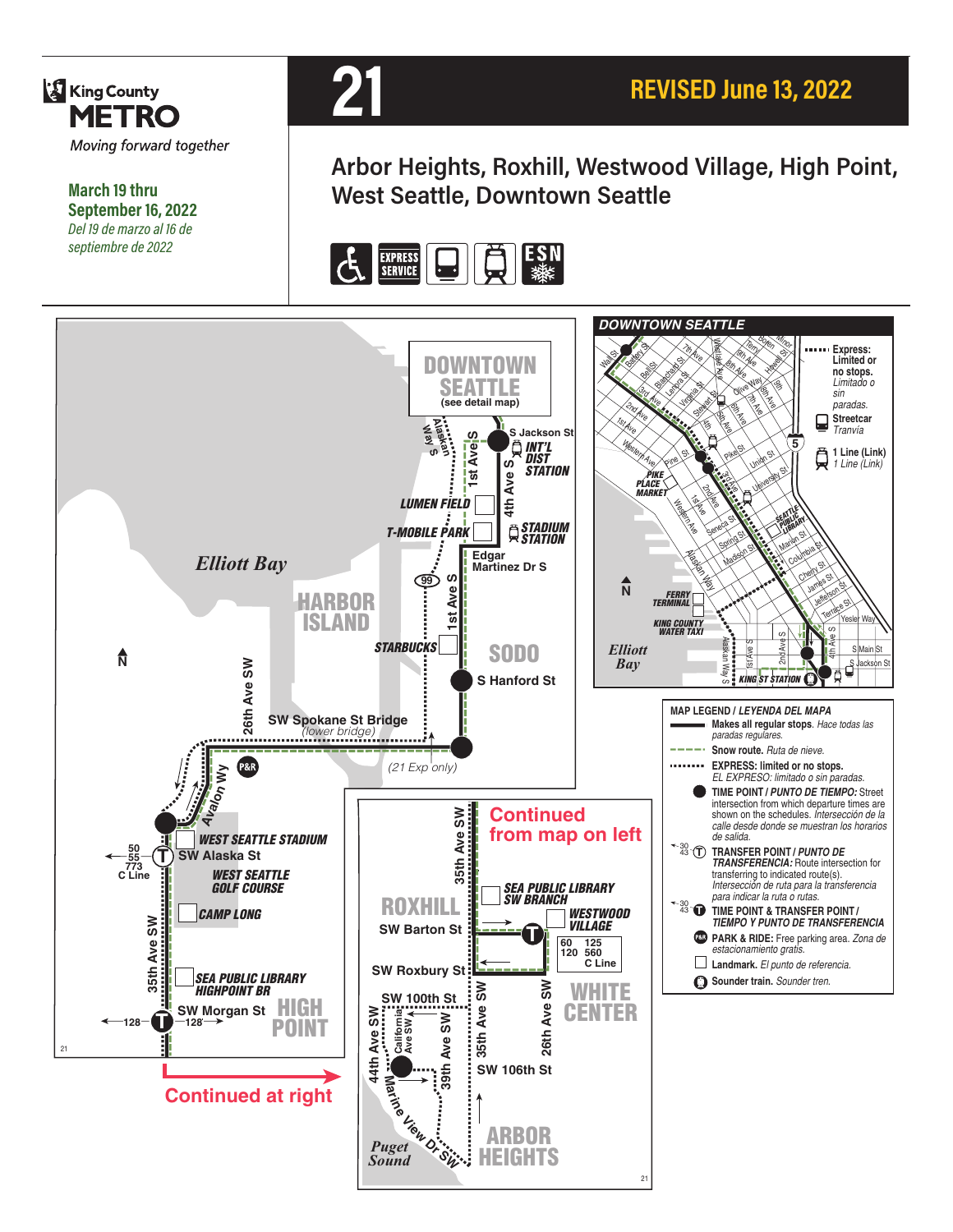

**March 19 thru September 16, 2022** *Del 19 de marzo al 16 de septiembre de 2022*



**Arbor Heights, Roxhill, Westwood Village, High Point, West Seattle, Downtown Seattle**



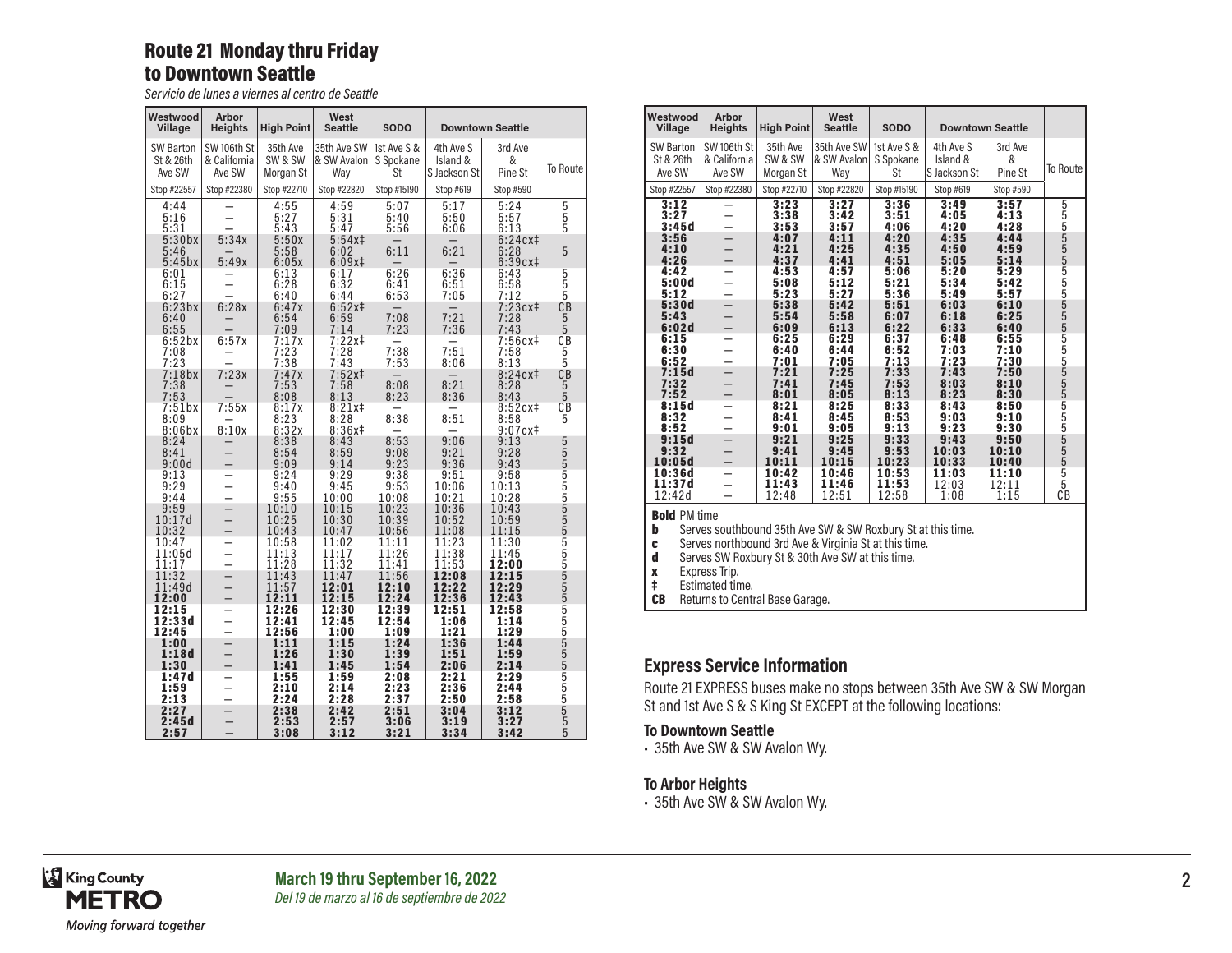## Route 21 Monday thru Friday to Downtown Seattle

*Servicio de lunes a viernes al centro de Seattle*

| Westwood<br>Village              | <b>Arbor</b><br><b>Heights</b>        | <b>High Point</b>                | West<br><b>Seattle</b>            | <b>SODO</b>                    |                                       | <b>Downtown Seattle</b>       |                                       |
|----------------------------------|---------------------------------------|----------------------------------|-----------------------------------|--------------------------------|---------------------------------------|-------------------------------|---------------------------------------|
| SW Barton<br>St & 26th<br>Ave SW | SW 106th St<br>& California<br>Ave SW | 35th Ave<br>SW & SW<br>Morgan St | 35th Ave SW<br>& SW Avalon<br>Way | 1st Ave S &<br>S Spokane<br>St | 4th Ave S<br>Island &<br>S Jackson St | 3rd Ave<br>&<br>Pine St       | <b>To Route</b>                       |
| Stop #22557                      | Stop #22380                           | Stop #22710                      | Stop #22820                       | Stop #15190                    | Stop #619                             | Stop #590                     |                                       |
| 4:44<br>5:16<br>5:31             |                                       | 4:55<br>5:27<br>5:43             | 4:59<br>5:31<br>5:47              | 5:07<br>5:40<br>5:56           | 5:17<br>5:50<br>6:06                  | 5:24<br>5:57<br>6:13          | 5<br>5<br>5                           |
| 5:30bx<br>5:46<br>$5:45$ bx      | 5:34x<br>5:49x                        | 5:50x<br>5:58<br>6:05x           | $5:54x$ ‡<br>6:02<br>6:09x#       | 6:11                           | 6:21                                  | 6:24cx‡<br>6:28<br>6:39cx‡    | 5                                     |
| 6:01<br>6:15<br>6:27             |                                       | 6:13<br>6:28<br>6:40             | 6:17<br>6:32<br>6:44              | 6:26<br>6:41<br>6:53           | 6:36<br>6:51<br>7:05                  | 6:43<br>6:58<br>7:12          | $5$<br>$5$<br>$5$<br>$CB$             |
| 6:23bx<br>6:40<br>6:55           | 6:28x<br>$\equiv$                     | 6:47x<br>6:54<br>7:09            | $6:52x \ddagger$<br>6:59<br>7:14  | 7:08<br>7:23                   | 7:21<br>7:36                          | 7:23cx‡<br>7:28<br>7:43       | $\begin{array}{c} 5 \\ 5 \end{array}$ |
| 6:52bx<br>7:08<br>7:23           | 6:57x<br>-                            | $7:17x$<br>$7:23$<br>7:38        | 7:22x‡<br>7:28<br>7:43            | 7:38<br>7:53                   | 7:51<br>8:06                          | 7:56cx‡<br>7:58<br>8:13       | СĎ<br>$\frac{5}{5}$<br>CB             |
| 7:18bx<br>7:38<br>7:53           | 7:23x<br>$\qquad \qquad -$            | 7:47x<br>7:53<br>8:08            | $7:52x$ ‡<br>7:58<br>8:13         | 8:08<br>8:23                   | 8:21<br>8:36                          | $8:24cx +$<br>8:28<br>8:43    | $\frac{5}{5}$<br>CB                   |
| 7:51bx<br>8:09<br>$8:06$ bx      | 7:55x<br>8:10x                        | 8:17x<br>8:23<br>8:32x           | $8:21x$ ‡<br>8:28<br>8:36x#       | 8:38                           | 8:51                                  | 8:52cx#<br>8:58<br>$9:07c$ x‡ | 5                                     |
| 8:24<br>8:41<br>9:00d            |                                       | 8:38<br>8:54<br>9:09             | 8:43<br>8:59<br>9:14              | 8:53<br>9:08<br>9:23           | 9:06<br>9:21<br>9:36                  | 9:13<br>9:28<br>9:43          |                                       |
| 9:13<br>9:29<br>9:44             |                                       | 9:24<br>9:40<br>9:55             | 9:29<br>9:45<br>10:00             | 9:38<br>9:53<br>10:08          | 9:51<br>10:06<br>10:21                | 9:58<br>10:13<br>10:28        |                                       |
| 9:59<br>10:17d<br>10:32          |                                       | 10:10<br>10:25<br>10:43          | 10:15<br>10:30<br>10:47           | 10:23<br>10:39<br>10:56        | 10:36<br>10:52<br>11:08               | 10:43<br>10:59<br>11:15       |                                       |
| 10:47<br>11:05d<br>11:17         | $\overline{\phantom{0}}$              | 10:58<br>11:13<br>11:28          | 11:02<br>11:17<br>11:32           | 11:11<br>11:26<br>11:41        | 11:23<br>11:38<br>11:53               | 11:30<br>11:45<br>12:00       |                                       |
| 11:32<br>11:49d<br>12:00         |                                       | 11:43<br>11:57<br>12:11          | 11:47<br>12:01<br>12:15           | 11:56<br>12:10<br>12:24        | 12:08<br>12:22<br>12:36               | 12:15<br>12:29<br>12:43       |                                       |
| 12:15<br>12:33d<br>12:45         | $\overline{ }$                        | 12:26<br>12:41<br>12:56          | 12:30<br>12:45<br>1:00            | 12:39<br>12:54<br>1:09         | 12:51<br>1:06<br>1:21                 | 12:58<br>1:14<br>1:29         |                                       |
| 1:00<br>1:18d<br>1:30            |                                       | 1:11<br>1:26<br>1:41             | 1:15<br>1:30<br>1:45              | 1:24<br>1:39<br>1:54           | 1:36<br>1:51<br>2:06                  | 1:44<br>1:59<br>2:14          |                                       |
| 1:47d<br>1:59<br>2:13            |                                       | 1:55<br>2:10<br>2:24             | 1:59<br>2:14<br>2:28              | 2:08<br>2:23<br>2:37           | 2:21<br>2:36<br>2:50                  | 2:29<br>2:44<br>2:58          |                                       |
| 2:27<br>2:45d<br>2:57            | $\overline{\phantom{0}}$              | 2:38<br>2:53<br>3:08             | 2:42<br>2:57<br>3:12              | 2:51<br>3:06<br>3:21           | 3:04<br>3:19<br>3:34                  | 3:12<br>3:27<br>3:42          |                                       |

| Westwood<br><b>Village</b>              | Arbor<br><b>Heights</b>                                                                                                                     | <b>High Point</b>                | West<br><b>Seattle</b>            | <b>SODO</b>                           |                                       | <b>Downtown Seattle</b> |                 |
|-----------------------------------------|---------------------------------------------------------------------------------------------------------------------------------------------|----------------------------------|-----------------------------------|---------------------------------------|---------------------------------------|-------------------------|-----------------|
| <b>SW Barton</b><br>St & 26th<br>Ave SW | <b>SW 106th St</b><br>& California<br>Ave SW                                                                                                | 35th Ave<br>SW & SW<br>Morgan St | 35th Ave SW<br>& SW Avalon<br>Way | 1st Ave S &<br>S Spokane<br><b>St</b> | 4th Ave S<br>Island &<br>S Jackson St | 3rd Ave<br>&<br>Pine St | <b>To Route</b> |
| Stop #22557                             | Stop #22380                                                                                                                                 | Stop #22710                      | Stop #22820                       | Stop #15190                           | Stop #619                             | Stop #590               |                 |
| 3:12<br>3:27<br>3:45d                   |                                                                                                                                             | 3:23<br>3:38<br>3:53             | 3:27<br>3:42<br>3:57              | 3:36<br>3:51<br>4:06                  | 3:49<br>4:05<br>4:20                  | 3:57<br>4:13<br>4:28    |                 |
| 3:56<br>4:10<br>4:26                    |                                                                                                                                             | 4:07<br>4:21<br>4:37             | 4:11<br>4:25<br>4:41              | 4:20<br>4:35<br>4:51                  | 4:35<br>4:50<br>5:05                  | 4:44<br>4:59<br>5:14    |                 |
| 4:42<br>5:00d<br>5:12                   |                                                                                                                                             | 4:53<br>5:08<br>5:23             | 4:57<br>5:12<br>5:27              | 5:06<br>5:21<br>5:36                  | 5:20<br>5:34<br>5:49                  | 5:29<br>5:42<br>5:57    |                 |
| 5:30d<br>5:43<br>6:02d                  | $\overline{a}$                                                                                                                              | 5:38<br>5:54<br>6:09             | 5:42<br>5:58<br>6:13              | 5:51<br>6:07<br>6:22                  | 6:03<br>6:18<br>6:33                  | 6:10<br>6:25<br>6:40    |                 |
| 6:15<br>6:30<br>6:52                    |                                                                                                                                             | 6:25<br>6:40<br>7:01             | 6:29<br>6:44<br>7:05              | 6:37<br>6:52<br>7:13                  | 6:48<br>7:03<br>7:23                  | 6:55<br>7:10<br>7:30    |                 |
| 7:15d<br>7:32<br>7:52                   |                                                                                                                                             | 7:21<br>7:41<br>8:01             | 7:25<br>7:45<br>8:05              | 7:33<br>7:53<br>8:13                  | 7:43<br>8:03<br>8:23                  | 7:50<br>8:10<br>8:30    |                 |
| 8:15d<br>8:32<br>8:52                   |                                                                                                                                             | 8:21<br>8:41<br>9:01             | 8:25<br>8:45<br>9:05              | 8:33<br>8:53<br>9:13                  | 8:43<br>9:03<br>9:23                  | 8:50<br>9:10<br>9:30    |                 |
| 9:15d<br>9:32<br>10:05d                 |                                                                                                                                             | 9:21<br>9:41<br>10:11            | 9:25<br>9:45<br>10:15             | 9:33<br>9:53<br>10:23                 | 9:43<br>10:03<br>10:33                | 9:50<br>10:10<br>10:40  |                 |
| 10:36d<br>11:37d<br>12:42d              | $\overline{a}$                                                                                                                              | 10:42<br>11:43<br>12:48          | 10:46<br>11:46<br>12:51           | 10:53<br>11:53<br>12:58               | 11:03<br>12:03<br>1:08                | 11:10<br>12:11<br>1:15  | CB              |
| b<br>C                                  | <b>Bold PM time</b><br>Serves southbound 35th Ave SW & SW Roxbury St at this time.<br>Serves northbound 3rd Ave & Virginia St at this time. |                                  |                                   |                                       |                                       |                         |                 |

**d** Serves SW Roxbury St & 30th Ave SW at this time.

x Express Trip.

‡ Estimated time.

**CB** Returns to Central Base Garage.

### **Express Service Information**

Route 21 EXPRESS buses make no stops between 35th Ave SW & SW Morgan St and 1st Ave S & S King St EXCEPT at the following locations:

### **To Downtown Seattle**

• 35th Ave SW & SW Avalon Wy.

#### **To Arbor Heights**

• 35th Ave SW & SW Avalon Wy.

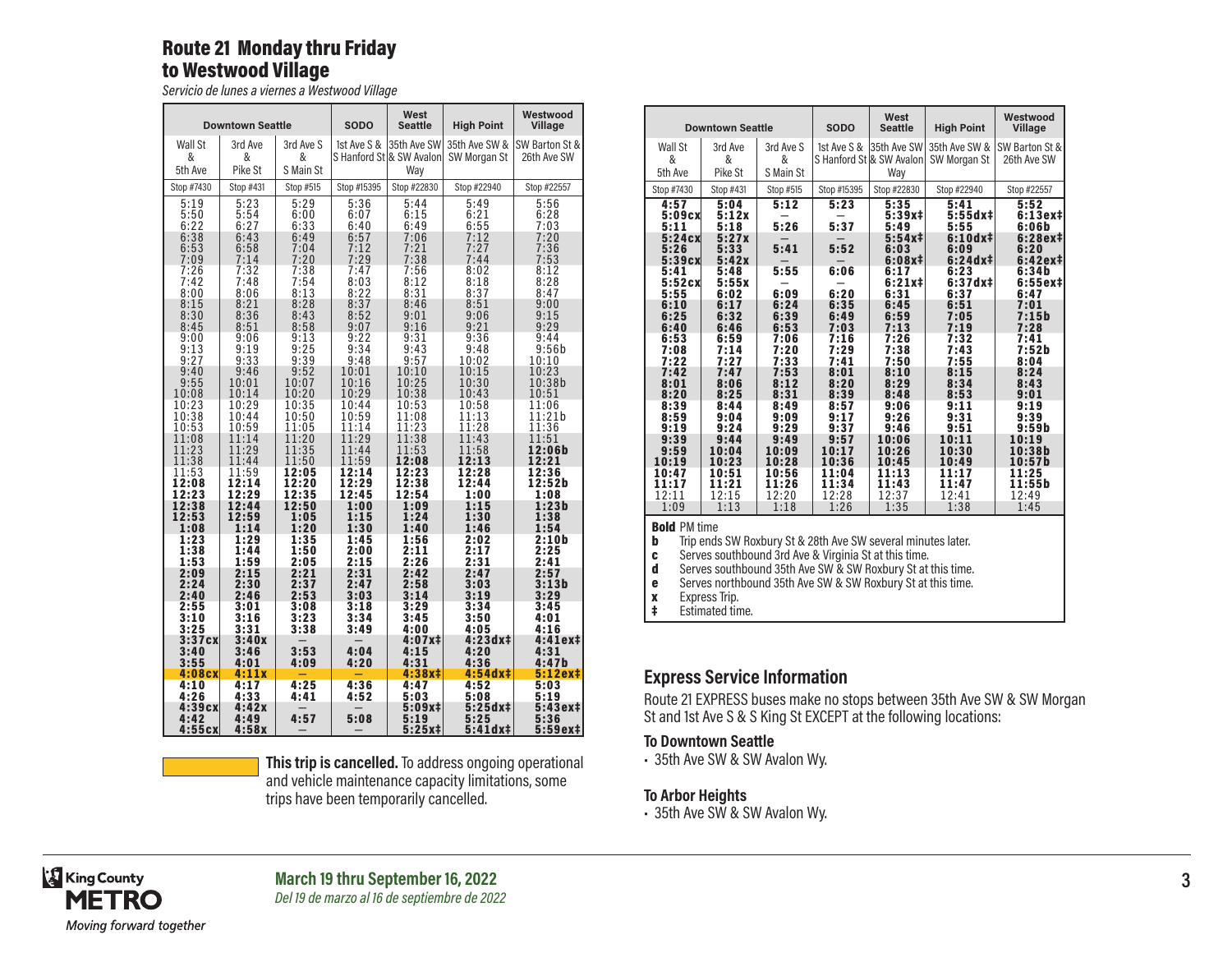## Route 21 Monday thru Friday to Westwood Village

*Servicio de lunes a viernes a Westwood Village*

|                                              | <b>Downtown Seattle</b>                      |                                              | <b>SODO</b>                                  | West<br><b>Seattle</b>                       | <b>High Point</b>                                      | Westwood<br>Village                          |
|----------------------------------------------|----------------------------------------------|----------------------------------------------|----------------------------------------------|----------------------------------------------|--------------------------------------------------------|----------------------------------------------|
| Wall St<br>&<br>5th Ave                      | 3rd Ave<br>&<br>Pike St                      | 3rd Ave S<br>&<br>S Main St                  | 1st Ave S &                                  | 35th Ave SW <br>Way                          | 35th Ave SW &<br>S Hanford St & SW Avalon SW Morgan St | SW Barton St &<br>26th Ave SW                |
| Stop #7430                                   | Stop #431                                    | Stop #515                                    | Stop #15395                                  | Stop #22830                                  | Stop #22940                                            | Stop #22557                                  |
| 5:19<br>5:50<br>6:22<br>6:38<br>6:53<br>7:09 | 5:23<br>5:54<br>6:27<br>6:43<br>6:58<br>7:14 | 5:29<br>6:00<br>6:33<br>6:49<br>7:04<br>7:20 | 5:36<br>6:07<br>6:40<br>6:57<br>7:12<br>7:29 | 5:44<br>6:15<br>6:49<br>7:06<br>7:21<br>7:38 | 5:49<br>6:21<br>$6:55$<br>$7:12$<br>7:27<br>7:44       | 5:56<br>6:28<br>7:03<br>7:20<br>7:36<br>7:53 |
| 7:26                                         | 7:32                                         | 7:38                                         | 7:47                                         | 7:56                                         | 8:02                                                   | 8:12                                         |
| 7:42                                         | 7:48                                         | 7:54                                         | 8:03                                         | 8:12                                         | 8:18                                                   | 8:28                                         |
| 8:00                                         | 8:06                                         | 8:13                                         | 8:22                                         | 8:31                                         | 8:37                                                   | 8:47                                         |
| 8:15                                         | 8:21                                         | 8:28                                         | 8:37                                         | 8:46                                         | 8:51                                                   | 9:00                                         |
| 8:30                                         | 8:36                                         | 8:43                                         | 8:52                                         | 9:01                                         | 9:06                                                   | 9:15                                         |
| 8:45                                         | 8:51                                         | 8:58                                         | 9:07                                         | 9:16                                         | 9:21                                                   | 9:29                                         |
| 9:00                                         | 9:06                                         | 9:13                                         | 9:22                                         | 9:31                                         | 9:36                                                   | 9:44                                         |
| 9:13                                         | 9:19                                         | 9:25                                         | 9:34                                         | 9:43                                         | 9:48                                                   | 9:56b                                        |
| 9:27                                         | 9:33                                         | 9:39                                         | 9:48                                         | 9:57                                         | 10:02                                                  | 10:10                                        |
| 9:40                                         | 9:46                                         | 9:52                                         | 10:01                                        | 10:10                                        | 10:15                                                  | 10:23                                        |
| 9:55                                         | 10:01                                        | 10:07                                        | 10:16                                        | 10:25                                        | 10:30                                                  | 10:38b                                       |
| 10:08                                        | 10:14                                        | 10:20                                        | 10:29                                        | 10:38                                        | 10:43                                                  | 10:51                                        |
| 10:23                                        | 10:29                                        | 10:35                                        | 10:44                                        | 10:53                                        | 10:58                                                  | 11:06                                        |
| 10:38                                        | 10:44                                        | 10:50                                        | 10:59                                        | 11:08                                        | 11:13                                                  | 11:21b                                       |
| 10:53                                        | 10:59                                        | 11:05                                        | 11:14                                        | 11:23                                        | 11:28                                                  | 11:36                                        |
| 11:08                                        | 11:14                                        | 11:20                                        | 11:29                                        | 11:38                                        | 11:43                                                  | 11:51                                        |
| 11:23                                        | 11:29                                        | 11:35                                        | 11:44                                        | 11:53                                        | 11:58                                                  | 12:06b                                       |
| 11:38                                        | 11:44                                        | 11:50                                        | 11:59                                        | 12:08                                        | 12:13                                                  | 12:21                                        |
| 11:53                                        | 11:59                                        | 12:05                                        | 12:14                                        | 12:23                                        | 12:28                                                  | 12:36                                        |
| 12:08                                        | 12:14                                        | 12:20                                        | 12:29                                        | 12:38                                        | 12:44                                                  | 12:52b                                       |
| 12:23                                        | 12:29                                        | 12:35                                        | 12:45                                        | 12:54                                        | 1:00                                                   | 1:08                                         |
| 12:38                                        | 12:44                                        | 12:50                                        | 1:00                                         | 1:09                                         | 1:15                                                   | 1:23b                                        |
| 12:53                                        | 12:59                                        | 1:05                                         | 1:15                                         | 1:24                                         | 1:30                                                   | 1:38                                         |
| 1:08                                         | 1:14                                         | 1:20                                         | 1:30                                         | 1:40                                         | 1:46                                                   | 1:54                                         |
| 1:23                                         | 1:29                                         | 1:35                                         | 1:45                                         | 1:56                                         | 2:02                                                   | 2:10b                                        |
| 1:38                                         | 1:44                                         | 1:50                                         | 2:00                                         | 2:11                                         | 2:17                                                   | 2:25                                         |
| 1:53                                         | 1:59                                         | 2:05                                         | 2:15                                         | 2:26                                         | 2:31                                                   | 2:41                                         |
| 2:09                                         | 2:15                                         | 2:21                                         | 2:31                                         | 2:42                                         | 2:47                                                   | 2:57                                         |
| 2:24                                         | 2:30                                         | 2:37                                         | 2:47                                         | 2:58                                         | 3:03                                                   | 3:13b                                        |
| 2:40                                         | 2:46                                         | 2:53                                         | 3:03                                         | 3:14                                         | 3:19                                                   | 3:29                                         |
| 2:55                                         | 3:01                                         | 3:08                                         | 3:18                                         | 3:29                                         | 3:34                                                   | 3:45                                         |
| 3:10                                         | 3:16                                         | 3:23                                         | 3:34                                         | 3:45                                         | 3:50                                                   | 4:01                                         |
| 3:25<br>3:37c <sub>x</sub><br>3:40<br>3:55   | 3:31<br>3:40x<br>3:46<br>4:01                | 3:38<br>3:53<br>4:09                         | 3:49<br>4:04<br>4:20                         | 4:00<br>4:07x‡<br>4:15<br>4:31               | 4:05<br>4:23dx‡<br>4:20<br>4:36                        | 4:16<br>4:41ex‡<br>4:31<br>4:47b             |
| 4:08cX<br>4:10<br>4:26<br>4:39cX             | 4:11x<br>4:17<br>4:33<br>4:42x               | 4:25<br>4:41                                 | 4:36<br>4:52                                 | 4:38x#<br>4:47<br>5:03<br>5:09x‡             | 4:54dx‡<br>4:52<br>5:08<br>$5:25dx +$                  | 5:12ex‡<br>5:03<br>5:19<br>5:43ex‡           |
| 4:42<br>4:55c <sub>X</sub>                   | 4:49<br>4:58x                                | 4:57                                         | 5:08                                         | 5:19<br>$5:25x+$                             | 5:25<br>$5:41dx+$                                      | 5:36<br>5:59ex#                              |

**This trip is cancelled.** To address ongoing operational and vehicle maintenance capacity limitations, some trips have been temporarily cancelled.

| West                                                                                                     | Westwood           |  |  |  |  |  |  |  |  |
|----------------------------------------------------------------------------------------------------------|--------------------|--|--|--|--|--|--|--|--|
| <b>High Point</b><br><b>Downtown Seattle</b><br><b>SODO</b><br><b>Seattle</b>                            | Village            |  |  |  |  |  |  |  |  |
| Wall St<br>3rd Ave S<br>1st Ave S & 35th Ave SW<br>35th Ave SW &<br>3rd Ave                              | SW Barton St &     |  |  |  |  |  |  |  |  |
| &<br>&<br>S Hanford St & SW Avalon<br>&<br>SW Morgan St                                                  | 26th Ave SW        |  |  |  |  |  |  |  |  |
| Pike St<br>S Main St<br>5th Ave<br>Way                                                                   |                    |  |  |  |  |  |  |  |  |
| Stop #15395<br>Stop #7430<br>Stop #431<br>Stop #515<br>Stop #22830<br>Stop #22940                        | Stop #22557        |  |  |  |  |  |  |  |  |
| 4:57<br>5:04<br>5:12<br>5:23<br>5:35<br>5:41                                                             | 5:52               |  |  |  |  |  |  |  |  |
| $5:55dx +$<br>5:09cX<br>5:12x<br>$5:39x+$<br>5:26<br>5:37<br>5:11<br>5:18<br>5:49<br>5:55                | $6:13ex+$<br>6:06b |  |  |  |  |  |  |  |  |
| $6:10dx +$<br>5:24c <sub>X</sub><br>5:27x<br>$5:54x+$                                                    | 6:28ex‡            |  |  |  |  |  |  |  |  |
| 5:41<br>5:52<br>5:33<br>5:26<br>6:03<br>6:09                                                             | 6:20               |  |  |  |  |  |  |  |  |
| 5:39c <sub>X</sub><br>5:42x<br>$6:24dx+$<br>$6:08x \ddagger$                                             | $6:42ex+$          |  |  |  |  |  |  |  |  |
| 5:55<br>6:06<br>5:41<br>6:17<br>6:23<br>5:48<br>5:52c <sub>X</sub><br>$6:21x+$<br>$6:37dx+$<br>5:55x     | 6:34b<br>$6:55ex+$ |  |  |  |  |  |  |  |  |
| 6:20<br>5:55<br>6:09<br>6:31<br>6:02<br>6:37                                                             | 6:47               |  |  |  |  |  |  |  |  |
| 6:10<br>6:24<br>6:35<br>6:45<br>6:51<br>6:17                                                             | 7:01               |  |  |  |  |  |  |  |  |
| 6:25<br>6:32<br>6:39<br>6:49<br>6:59<br>7:05<br>6:40<br>6:46<br>6:53<br>7:03<br>7:13<br>7:19             | 7:15b<br>7:28      |  |  |  |  |  |  |  |  |
| 6:53<br>7:16<br>7:26<br>7:32<br>6:59<br>7:06                                                             | 7:41               |  |  |  |  |  |  |  |  |
| 7:38<br>7:08<br>7:14<br>7:20<br>7:29<br>7:43                                                             | 7:52b              |  |  |  |  |  |  |  |  |
| 7:22<br>7:33<br>7:41<br>7:50<br>7:55<br>7:27                                                             | 8:04               |  |  |  |  |  |  |  |  |
| 7:42<br>7:53<br>8:10<br>8:15<br>7:47<br>8:01<br>8:12<br>8:29<br>8:34<br>8:01<br>8:06<br>8:20             | 8:24<br>8:43       |  |  |  |  |  |  |  |  |
| 8:20<br>8:25<br>8:31<br>8:39<br>8:53<br>8:48                                                             | 9:01               |  |  |  |  |  |  |  |  |
| 8:39<br>8:44<br>8:49<br>8:57<br>9:06<br>9:11                                                             | 9:19               |  |  |  |  |  |  |  |  |
| 8:59<br>9:17<br>9:31<br>9:04<br>9:09<br>9:26                                                             | 9:39               |  |  |  |  |  |  |  |  |
| 9:19<br>9:37<br>9:24<br>9:29<br>9:46<br>9:51<br>9:39<br>9:44<br>9:49<br>9:57<br>10:06<br>10:11           | 9:59b<br>10:19     |  |  |  |  |  |  |  |  |
| 9:59<br>10:17<br>10:26<br>10:30<br>10:04<br>10:09                                                        | 10:38b             |  |  |  |  |  |  |  |  |
| 10:19<br>10:23<br>10:28<br>10:36<br>10:45<br>10:49                                                       | 10:57b             |  |  |  |  |  |  |  |  |
| 11:04<br>11:13<br>10:47<br>10:51<br>10:56<br>11:17                                                       | 11:25              |  |  |  |  |  |  |  |  |
| 11:17<br>11:34<br>11:43<br>11:47<br>11:21<br>11:26<br>12:11<br>12:37<br>12:41<br>12:15<br>12:20<br>12:28 | 11:55b<br>12:49    |  |  |  |  |  |  |  |  |
| 1:09<br>1:13<br>1:26<br>1:35<br>1:38<br>1:18                                                             | 1:45               |  |  |  |  |  |  |  |  |
| <b>Bold PM time</b>                                                                                      |                    |  |  |  |  |  |  |  |  |
| b<br>Trip ends SW Roxbury St & 28th Ave SW several minutes later.                                        |                    |  |  |  |  |  |  |  |  |
| Serves southbound 3rd Ave & Virginia St at this time.<br>C                                               |                    |  |  |  |  |  |  |  |  |
| d<br>Serves southbound 35th Ave SW & SW Roxbury St at this time.                                         |                    |  |  |  |  |  |  |  |  |

e Serves northbound 35th Ave SW & SW Roxbury St at this time.

Express Trip.

Estimated time.

## **Express Service Information**

Route 21 EXPRESS buses make no stops between 35th Ave SW & SW Morgan St and 1st Ave S & S King St EXCEPT at the following locations:

#### **To Downtown Seattle**

• 35th Ave SW & SW Avalon Wy.

#### **To Arbor Heights**

• 35th Ave SW & SW Avalon Wy.

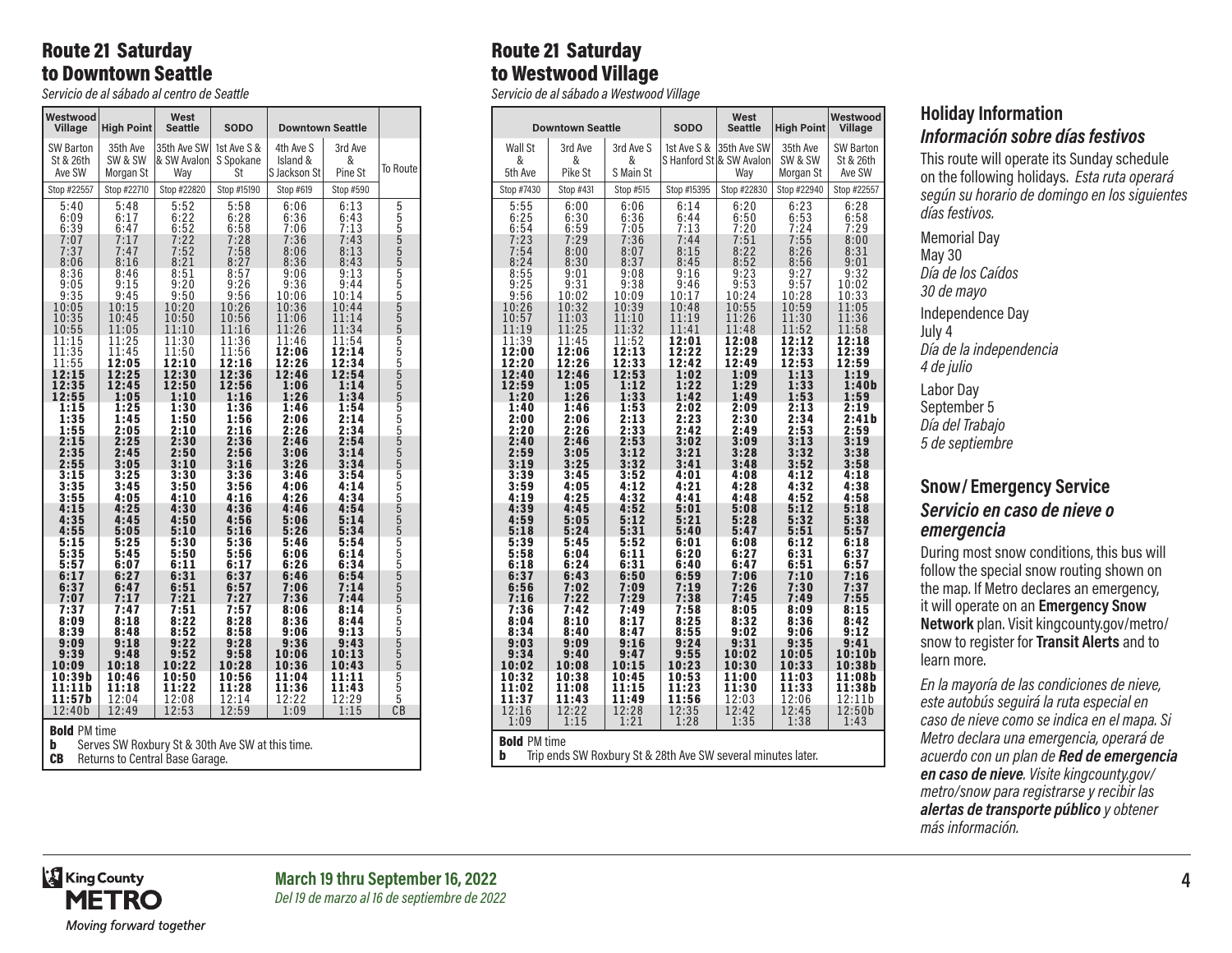## Route 21 Saturday to Downtown Seattle

*Servicio de al sábado al centro de Seattle*

| 35th Ave SW<br>3rd Ave<br><b>SW Barton</b><br>35th Ave<br>1st Ave S &<br>4th Ave S<br>St & 26th<br>SW & SW<br>& SW Avalon<br>&<br>S Spokane<br>Island &<br>Ave SW<br>Pine St<br>Morgan St<br>Wav<br>St<br>S Jackson St<br>Stop #22557<br>Stop #22710<br>Stop #22820<br>Stop #15190<br>Stop #619<br>Stop #590<br>5:58<br>5:40<br>5:48<br>5:52<br>6:06<br>6:13<br>5555555555555555555555555555555555555<br>6:22<br>6:28<br>6:43<br>6:09<br>6:36<br>6:17<br>6:39<br>6:52<br>6:58<br>7:13<br>6:47<br>7:06<br>7:17<br>7:22<br>7:43<br>7:07<br>7:28<br>7:36<br>7:37<br>7:47<br>7:52<br>7:58<br>8:06<br>8:13<br>8:06<br>8:16<br>8:21<br>8:27<br>8:36<br>8:43<br>8:57<br>8:36<br>8:46<br>8:51<br>9:06<br>9:13<br>9:26<br>9:05<br>9:15<br>9:20<br>9:36<br>9:44<br>9:35<br>9:45<br>9:50<br>9:56<br>10:14<br>10:06<br>10:05<br>10:15<br>10:26<br>10:36<br>10:44<br>10:20<br>10:35<br>10:45<br>10:50<br>10:56<br>11:06<br>11:14<br>10:55<br>11:05<br>11:10<br>11:16<br>11:26<br>11:34<br>11:15<br>11:25<br>11:30<br>11:36<br>11:46<br>11:54<br>11:35<br>11:45<br>11:50<br>12:06<br>12:14<br>11:56<br>11:55<br>12:26<br>12:34<br>12:05<br>12:10<br>12:16<br>12:15<br>12:30<br>12:46<br>12:25<br>12:36<br>12:54<br>12:35<br>12:45<br>12:50<br>12:56<br>1:14<br>1:06<br>12:55<br>1:26<br>1:34<br>1:05<br>1:10<br>1:16<br>1:15<br>1:25<br>1:30<br>1:36<br>1:46<br>1:54<br>1:35<br>1:45<br>1:50<br>1:56<br>2:14<br>2:06<br>1:55<br>2:10<br>2:16<br>2:26<br>2:34<br>2:05<br>2:15<br>2:25<br>2:30<br>2:36<br>2:46<br>2:54<br>2:35<br>2:45<br>2:56<br>3:06<br>3:14<br>2:50<br>2:55<br>3:10<br>3:16<br>3:34<br>3:05<br>3:26<br>3:30<br>3:15<br>3:25<br>3:36<br>3:46<br>3:54<br>4:14<br>3:35<br>3:45<br>3:50<br>3:56<br>4:06<br>3:55<br>4:10<br>4:16<br>4:34<br>4:05<br>4:26<br>4:15<br>4:25<br>4:36<br>4:30<br>4:46<br>4:54<br>4:35<br>5:14<br>4:45<br>4:50<br>4:56<br>5:06<br>4:55<br>5:05<br>5:10<br>5:16<br>5:26<br>5:34<br>5:15<br>5:25<br>5:30<br>5:36<br>5:54<br>5:46<br>5:35<br>6:14<br>5:45<br>5:50<br>5:56<br>6:06<br>5:57<br>6:34<br>6:11<br>6:17<br>6:26<br>6:07<br>6:31<br>6:37<br>6:17<br>6:27<br>6:54<br>6:46<br>7:06<br>7:14<br>6:37<br>6:47<br>6:51<br>6:57<br>7:07<br>7:17<br>7:21<br>7:27<br>7:36<br>7:44<br>7:37<br>7:47<br>7:51<br>7:57<br>8:14<br>8:06<br>8:22<br>8:28<br>8:36<br>8:44<br>8:09<br>8:18<br>8:58<br>8:39<br>8:48<br>8:52<br>9:06<br>9:13<br>9:22<br>9:09<br>9:28<br>9:36<br>9:43<br>9:18<br>9:39<br>9:48<br>9:52<br>9:58<br>10:06<br>10:13<br>10:22<br>10:09<br>10:18<br>10:28<br>10:36<br>10:43<br>10:39b<br>10:46<br>10:50<br>10:56<br>11:04<br>11:11<br>11:11b<br>11:18<br>11:22<br>11:28<br>11:36<br>11:43<br>11:57b<br>12:08<br>12:04<br>12:14<br>12:22<br>12:29<br>СB<br>12:53<br>12:40b<br>12:49<br>12:59<br>1:09<br>1:15 | Westwood<br>Village | <b>High Point</b> | West<br><b>Seattle</b> | <b>SODO</b> | <b>Downtown Seattle</b> |                 |
|------------------------------------------------------------------------------------------------------------------------------------------------------------------------------------------------------------------------------------------------------------------------------------------------------------------------------------------------------------------------------------------------------------------------------------------------------------------------------------------------------------------------------------------------------------------------------------------------------------------------------------------------------------------------------------------------------------------------------------------------------------------------------------------------------------------------------------------------------------------------------------------------------------------------------------------------------------------------------------------------------------------------------------------------------------------------------------------------------------------------------------------------------------------------------------------------------------------------------------------------------------------------------------------------------------------------------------------------------------------------------------------------------------------------------------------------------------------------------------------------------------------------------------------------------------------------------------------------------------------------------------------------------------------------------------------------------------------------------------------------------------------------------------------------------------------------------------------------------------------------------------------------------------------------------------------------------------------------------------------------------------------------------------------------------------------------------------------------------------------------------------------------------------------------------------------------------------------------------------------------------------------------------------------------------------------------------------------------------------------------------------------------------------------------------------------------------------------------------------------------------------------------------------------------------------------------------------------------------------------------------------------------------------------------------------------------------------------------------------------------|---------------------|-------------------|------------------------|-------------|-------------------------|-----------------|
|                                                                                                                                                                                                                                                                                                                                                                                                                                                                                                                                                                                                                                                                                                                                                                                                                                                                                                                                                                                                                                                                                                                                                                                                                                                                                                                                                                                                                                                                                                                                                                                                                                                                                                                                                                                                                                                                                                                                                                                                                                                                                                                                                                                                                                                                                                                                                                                                                                                                                                                                                                                                                                                                                                                                                |                     |                   |                        |             |                         | <b>To Route</b> |
|                                                                                                                                                                                                                                                                                                                                                                                                                                                                                                                                                                                                                                                                                                                                                                                                                                                                                                                                                                                                                                                                                                                                                                                                                                                                                                                                                                                                                                                                                                                                                                                                                                                                                                                                                                                                                                                                                                                                                                                                                                                                                                                                                                                                                                                                                                                                                                                                                                                                                                                                                                                                                                                                                                                                                |                     |                   |                        |             |                         |                 |
|                                                                                                                                                                                                                                                                                                                                                                                                                                                                                                                                                                                                                                                                                                                                                                                                                                                                                                                                                                                                                                                                                                                                                                                                                                                                                                                                                                                                                                                                                                                                                                                                                                                                                                                                                                                                                                                                                                                                                                                                                                                                                                                                                                                                                                                                                                                                                                                                                                                                                                                                                                                                                                                                                                                                                |                     |                   |                        |             |                         |                 |
|                                                                                                                                                                                                                                                                                                                                                                                                                                                                                                                                                                                                                                                                                                                                                                                                                                                                                                                                                                                                                                                                                                                                                                                                                                                                                                                                                                                                                                                                                                                                                                                                                                                                                                                                                                                                                                                                                                                                                                                                                                                                                                                                                                                                                                                                                                                                                                                                                                                                                                                                                                                                                                                                                                                                                |                     |                   |                        |             |                         |                 |
|                                                                                                                                                                                                                                                                                                                                                                                                                                                                                                                                                                                                                                                                                                                                                                                                                                                                                                                                                                                                                                                                                                                                                                                                                                                                                                                                                                                                                                                                                                                                                                                                                                                                                                                                                                                                                                                                                                                                                                                                                                                                                                                                                                                                                                                                                                                                                                                                                                                                                                                                                                                                                                                                                                                                                |                     |                   |                        |             |                         |                 |
|                                                                                                                                                                                                                                                                                                                                                                                                                                                                                                                                                                                                                                                                                                                                                                                                                                                                                                                                                                                                                                                                                                                                                                                                                                                                                                                                                                                                                                                                                                                                                                                                                                                                                                                                                                                                                                                                                                                                                                                                                                                                                                                                                                                                                                                                                                                                                                                                                                                                                                                                                                                                                                                                                                                                                |                     |                   |                        |             |                         |                 |
|                                                                                                                                                                                                                                                                                                                                                                                                                                                                                                                                                                                                                                                                                                                                                                                                                                                                                                                                                                                                                                                                                                                                                                                                                                                                                                                                                                                                                                                                                                                                                                                                                                                                                                                                                                                                                                                                                                                                                                                                                                                                                                                                                                                                                                                                                                                                                                                                                                                                                                                                                                                                                                                                                                                                                |                     |                   |                        |             |                         |                 |
|                                                                                                                                                                                                                                                                                                                                                                                                                                                                                                                                                                                                                                                                                                                                                                                                                                                                                                                                                                                                                                                                                                                                                                                                                                                                                                                                                                                                                                                                                                                                                                                                                                                                                                                                                                                                                                                                                                                                                                                                                                                                                                                                                                                                                                                                                                                                                                                                                                                                                                                                                                                                                                                                                                                                                |                     |                   |                        |             |                         |                 |
|                                                                                                                                                                                                                                                                                                                                                                                                                                                                                                                                                                                                                                                                                                                                                                                                                                                                                                                                                                                                                                                                                                                                                                                                                                                                                                                                                                                                                                                                                                                                                                                                                                                                                                                                                                                                                                                                                                                                                                                                                                                                                                                                                                                                                                                                                                                                                                                                                                                                                                                                                                                                                                                                                                                                                |                     |                   |                        |             |                         |                 |
|                                                                                                                                                                                                                                                                                                                                                                                                                                                                                                                                                                                                                                                                                                                                                                                                                                                                                                                                                                                                                                                                                                                                                                                                                                                                                                                                                                                                                                                                                                                                                                                                                                                                                                                                                                                                                                                                                                                                                                                                                                                                                                                                                                                                                                                                                                                                                                                                                                                                                                                                                                                                                                                                                                                                                |                     |                   |                        |             |                         |                 |
|                                                                                                                                                                                                                                                                                                                                                                                                                                                                                                                                                                                                                                                                                                                                                                                                                                                                                                                                                                                                                                                                                                                                                                                                                                                                                                                                                                                                                                                                                                                                                                                                                                                                                                                                                                                                                                                                                                                                                                                                                                                                                                                                                                                                                                                                                                                                                                                                                                                                                                                                                                                                                                                                                                                                                |                     |                   |                        |             |                         |                 |
|                                                                                                                                                                                                                                                                                                                                                                                                                                                                                                                                                                                                                                                                                                                                                                                                                                                                                                                                                                                                                                                                                                                                                                                                                                                                                                                                                                                                                                                                                                                                                                                                                                                                                                                                                                                                                                                                                                                                                                                                                                                                                                                                                                                                                                                                                                                                                                                                                                                                                                                                                                                                                                                                                                                                                |                     |                   |                        |             |                         |                 |
|                                                                                                                                                                                                                                                                                                                                                                                                                                                                                                                                                                                                                                                                                                                                                                                                                                                                                                                                                                                                                                                                                                                                                                                                                                                                                                                                                                                                                                                                                                                                                                                                                                                                                                                                                                                                                                                                                                                                                                                                                                                                                                                                                                                                                                                                                                                                                                                                                                                                                                                                                                                                                                                                                                                                                |                     |                   |                        |             |                         |                 |
|                                                                                                                                                                                                                                                                                                                                                                                                                                                                                                                                                                                                                                                                                                                                                                                                                                                                                                                                                                                                                                                                                                                                                                                                                                                                                                                                                                                                                                                                                                                                                                                                                                                                                                                                                                                                                                                                                                                                                                                                                                                                                                                                                                                                                                                                                                                                                                                                                                                                                                                                                                                                                                                                                                                                                |                     |                   |                        |             |                         |                 |
|                                                                                                                                                                                                                                                                                                                                                                                                                                                                                                                                                                                                                                                                                                                                                                                                                                                                                                                                                                                                                                                                                                                                                                                                                                                                                                                                                                                                                                                                                                                                                                                                                                                                                                                                                                                                                                                                                                                                                                                                                                                                                                                                                                                                                                                                                                                                                                                                                                                                                                                                                                                                                                                                                                                                                |                     |                   |                        |             |                         |                 |
|                                                                                                                                                                                                                                                                                                                                                                                                                                                                                                                                                                                                                                                                                                                                                                                                                                                                                                                                                                                                                                                                                                                                                                                                                                                                                                                                                                                                                                                                                                                                                                                                                                                                                                                                                                                                                                                                                                                                                                                                                                                                                                                                                                                                                                                                                                                                                                                                                                                                                                                                                                                                                                                                                                                                                |                     |                   |                        |             |                         |                 |
|                                                                                                                                                                                                                                                                                                                                                                                                                                                                                                                                                                                                                                                                                                                                                                                                                                                                                                                                                                                                                                                                                                                                                                                                                                                                                                                                                                                                                                                                                                                                                                                                                                                                                                                                                                                                                                                                                                                                                                                                                                                                                                                                                                                                                                                                                                                                                                                                                                                                                                                                                                                                                                                                                                                                                |                     |                   |                        |             |                         |                 |
| <b>Bold PM time</b>                                                                                                                                                                                                                                                                                                                                                                                                                                                                                                                                                                                                                                                                                                                                                                                                                                                                                                                                                                                                                                                                                                                                                                                                                                                                                                                                                                                                                                                                                                                                                                                                                                                                                                                                                                                                                                                                                                                                                                                                                                                                                                                                                                                                                                                                                                                                                                                                                                                                                                                                                                                                                                                                                                                            |                     |                   |                        |             |                         |                 |

**b** Serves SW Roxbury St & 30th Ave SW at this time.

CB Returns to Central Base Garage.

# Route 21 Saturday to Westwood Village

*Servicio de al sábado a Westwood Village*

|                                  | <b>Downtown Seattle</b>          |                              | <b>SODO</b>                  | West<br><b>Seattle</b>           | <b>High Point</b>            | Westwood<br>Village          |
|----------------------------------|----------------------------------|------------------------------|------------------------------|----------------------------------|------------------------------|------------------------------|
| Wall St                          | 3rd Ave                          | 3rd Ave S                    | 1st Ave S &                  | 35th Ave SW                      | 35th Ave                     | SW Barton                    |
| &                                | &                                | &                            |                              | S Hanford Stl& SW Avalonl        | SW & SW                      | St & 26th                    |
| 5th Ave                          | Pike St                          | S Main St                    |                              | Way                              | Morgan St                    | Ave SW                       |
| Stop #7430                       | Stop #431                        | Stop #515                    | Stop #15395                  | Stop #22830                      | Stop #22940                  | Stop #22557                  |
| 5:55<br>6:25<br>$6:54$<br>$7:23$ | 6:00<br>6:30<br>$6:59$<br>$7:29$ | 6:06<br>6:36<br>7:05<br>7:36 | 6:14<br>6:44<br>7:13<br>7:44 | 6:20<br>6:50<br>$7:20$<br>$7:51$ | 6:23<br>6:53<br>7:24<br>7:55 | 6:28<br>6:58<br>7:29<br>8:00 |
| 7:54                             | 8:00                             | 8:07                         | 8:15                         | 8:22                             | 8:26                         | 8:31                         |
| 8:24                             | 8:30                             | 8:37                         | 8:45                         | 8:52                             | 8:56                         | 9:01                         |
| 8:55                             | 9:01                             | 9:08                         | 9:16                         | 9:23                             | 9:27                         | 9:32                         |
| 9:25                             | 9:31                             | 9:38                         | 9:46                         | 9:53                             | 9:57                         | 10:02                        |
| 9:56                             | 10:02                            | 10:09                        | 10:17                        | 10:24                            | 10:28                        | 10:33                        |
| 10:26                            | 10:32                            | 10:39                        | 10:48                        | 10:55                            | 10:59                        | 11:05                        |
| 10:57                            | 11:03                            | 11:10                        | 11:19                        | 11:26                            | 11:30                        | 11:36                        |
| 11:19                            | 11:25                            | 11:32                        | 11:41                        | 11:48                            | 11:52                        | 11:58                        |
| 11:39                            | 11:45                            | 11:52                        | 12:01                        | 12:08                            | 12:12                        | 12:18                        |
| 12:00                            | 12:06                            | 12:13                        | 12:22                        | 12:29                            | 12:33                        | 12:39                        |
| 12:20                            | 12:26                            | 12:33                        | 12:42                        | 12:49                            | 12:53                        | 12:59                        |
| 12:40                            | 12:46                            | 12:53                        | 1:02                         | 1:09                             | 1:13                         | 1:19                         |
| 12:59                            | 1:05                             | 1:12                         | 1:22                         | 1:29                             | 1:33                         | 1:40b                        |
| 1:20                             | 1:26                             | 1:33                         | 1:42                         | 1:49                             | 1:53                         | 1:59                         |
| 1:40                             | 1:46                             | 1:53                         | 2:02                         | 2:09                             | 2:13                         | 2:19                         |
| 2:00                             | 2:06                             | 2:13                         | 2:23                         | 2:30                             | 2:34                         | 2:41b                        |
| 2:20                             | 2:26                             | 2:33                         | 2:42                         | 2:49                             | 2:53                         | 2:59                         |
| 2:40                             | 2:46                             | 2:53                         | 3:02                         | 3:09                             | 3:13                         | 3:19                         |
| 2:59                             | 3:05                             | 3:12                         | 3:21                         | 3:28                             | 3:32                         | 3:38                         |
| 3:19                             | 3:25                             | 3:32                         | 3:41                         | 3:48                             | 3:52                         | 3:58                         |
| 3:39<br>3:59<br>4:19<br>4:39     | 3:45<br>4:05<br>4:25             | 3:52<br>4:12<br>4:32<br>4:52 | 4:01<br>4:21<br>4:41         | 4:08<br>4:28<br>4:48             | 4:12<br>4:32<br>4:52         | 4:18<br>4:38<br>4:58         |
| 4:59<br>5:18<br>5:39             | 4:45<br>5:05<br>5:24<br>5:45     | 5:12<br>5:31<br>5:52         | 5:01<br>5:21<br>5:40<br>6:01 | 5:08<br>5:28<br>5:47<br>6:08     | 5:12<br>5:32<br>5:51<br>6:12 | 5:18<br>5:38<br>5:57<br>6:18 |
| 5:58                             | 6:04                             | 6:11                         | 6:20                         | 6:27                             | 6:31                         | 6:37                         |
| 6:18                             | 6:24                             | 6:31                         | 6:40                         | 6:47                             | 6:51                         | 6:57                         |
| 6:37                             | 6:43                             | 6:50                         | 6:59                         | 7:06                             | 7:10                         | 7:16                         |
| 6:56                             | 7:02                             | 7:09                         | 7:19                         | 7:26                             | 7:30                         | 7:37                         |
| 7:16                             | 7:22                             | 7:29                         | 7:38                         | 7:45                             | 7:49                         | 7:55                         |
| 7:36                             | 7:42                             | 7:49                         | 7:58                         | 8:05                             | 8:09                         | 8:15                         |
| 8:04<br>8:34<br>9:03             | 8:10<br>8:40                     | 8:17<br>8:47<br>9:16         | 8:25<br>8:55<br>9:24         | 8:32<br>9:02<br>9:31             | 8:36<br>9:06<br>9:35         | 8:42<br>9:12<br>9:41         |
| 9:34<br>10:02                    | 9:09<br>9:40<br>10:08            | 9:47<br>10:15                | 9:55<br>10:23                | 10:02<br>10:30                   | 10:05<br>10:33               | 10:10 <sub>b</sub><br>10:38b |
| 10:32                            | 10:38                            | 10:45                        | 10:53                        | 11:00                            | 11:03                        | 11:08b                       |
| 11:02                            | 11:08                            | 11:15                        | 11:23                        | 11:30                            | 11:33                        | 11:38b                       |
| 11:37                            | 11:43                            | 11:49                        | 11:56                        | 12:03                            | 12:06                        | 12:11b                       |
| 12:16                            | 12:22                            | 12:28                        | 12:35                        | 12:42                            | 12:45                        | 12:50b                       |
| 1:09                             | 1:15                             | 1:21                         | 1:28                         | 1:35                             | 1:38                         | 1:43                         |

Trip ends SW Roxbury St & 28th Ave SW several minutes later.

# **Holiday Information** *Información sobre días festivos*

This route will operate its Sunday schedule on the following holidays. *Esta ruta operará según su horario de domingo en los siguientes días festivos.*

Memorial Day May 30 *Día de los Caídos 30 de mayo* Independence Day July 4 *Día de la independencia 4 de julio* Labor Day September 5 *Día del Trabajo 5 de septiembre*

## **Snow/ Emergency Service**  *Servicio en caso de nieve o emergencia*

During most snow conditions, this bus will follow the special snow routing shown on the map. If Metro declares an emergency, it will operate on an **Emergency Snow Network** plan. Visit kingcounty.gov/metro/ snow to register for **Transit Alerts** and to learn more.

*En la mayoría de las condiciones de nieve, este autobús seguirá la ruta especial en caso de nieve como se indica en el mapa. Si Metro declara una emergencia, operará de acuerdo con un plan de Red de emergencia en caso de nieve. Visite kingcounty.gov/ metro/snow para registrarse y recibir las alertas de transporte público y obtener más información.*



**Bold** PM time<br>**b** Trip ends